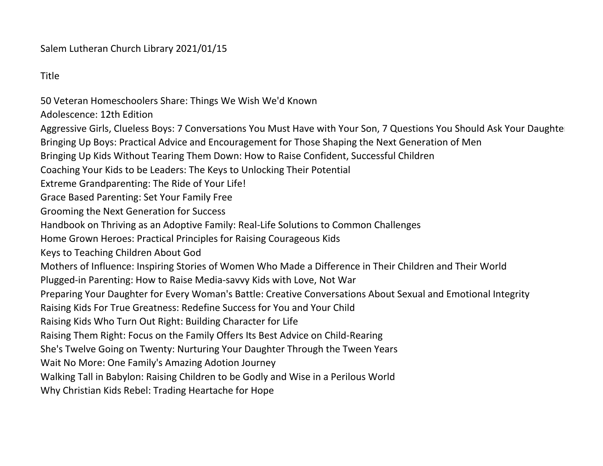Salem Lutheran Church Library 2021/01/15

Title

50 Veteran Homeschoolers Share: Things We Wish We'd Known

Adolescence: 12th Edition

Aggressive Girls, Clueless Boys: 7 Conversations You Must Have with Your Son, 7 Questions You Should Ask Your Daughter Bringing Up Boys: Practical Advice and Encouragement for Those Shaping the Next Generation of Men

Bringing Up Kids Without Tearing Them Down: How to Raise Confident, Successful Children

- Coaching Your Kids to be Leaders: The Keys to Unlocking Their Potential
- Extreme Grandparenting: The Ride of Your Life!

Grace Based Parenting: Set Your Family Free

Grooming the Next Generation for Success

Handbook on Thriving as an Adoptive Family: Real-Life Solutions to Common Challenges

Home Grown Heroes: Practical Principles for Raising Courageous Kids

Keys to Teaching Children About God

Mothers of Influence: Inspiring Stories of Women Who Made a Difference in Their Children and Their World

Plugged-in Parenting: How to Raise Media-savvy Kids with Love, Not War

Preparing Your Daughter for Every Woman's Battle: Creative Conversations About Sexual and Emotional Integrity

Raising Kids For True Greatness: Redefine Success for You and Your Child

Raising Kids Who Turn Out Right: Building Character for Life

Raising Them Right: Focus on the Family Offers Its Best Advice on Child-Rearing

She's Twelve Going on Twenty: Nurturing Your Daughter Through the Tween Years

Wait No More: One Family's Amazing Adotion Journey

Walking Tall in Babylon: Raising Children to be Godly and Wise in a Perilous World

Why Christian Kids Rebel: Trading Heartache for Hope